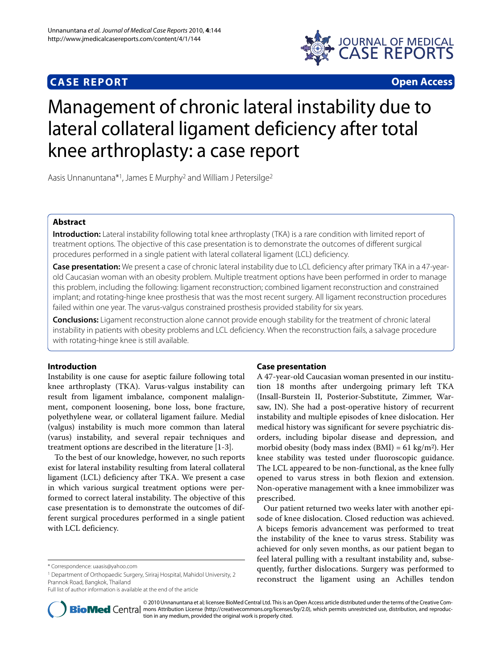# **CASE REPORT Open Access**



# Management of chronic lateral instability due to lateral collateral ligament deficiency after total knee arthroplasty: a case report

Aasis Unnanuntana\*1, James E Murphy2 and William J Petersilge2

# **Abstract**

**Introduction:** Lateral instability following total knee arthroplasty (TKA) is a rare condition with limited report of treatment options. The objective of this case presentation is to demonstrate the outcomes of different surgical procedures performed in a single patient with lateral collateral ligament (LCL) deficiency.

**Case presentation:** We present a case of chronic lateral instability due to LCL deficiency after primary TKA in a 47-yearold Caucasian woman with an obesity problem. Multiple treatment options have been performed in order to manage this problem, including the following: ligament reconstruction; combined ligament reconstruction and constrained implant; and rotating-hinge knee prosthesis that was the most recent surgery. All ligament reconstruction procedures failed within one year. The varus-valgus constrained prosthesis provided stability for six years.

**Conclusions:** Ligament reconstruction alone cannot provide enough stability for the treatment of chronic lateral instability in patients with obesity problems and LCL deficiency. When the reconstruction fails, a salvage procedure with rotating-hinge knee is still available.

# **Introduction**

Instability is one cause for aseptic failure following total knee arthroplasty (TKA). Varus-valgus instability can result from ligament imbalance, component malalignment, component loosening, bone loss, bone fracture, polyethylene wear, or collateral ligament failure. Medial (valgus) instability is much more common than lateral (varus) instability, and several repair techniques and treatment options are described in the literature [\[1-](#page-4-0)[3\]](#page-4-1).

To the best of our knowledge, however, no such reports exist for lateral instability resulting from lateral collateral ligament (LCL) deficiency after TKA. We present a case in which various surgical treatment options were performed to correct lateral instability. The objective of this case presentation is to demonstrate the outcomes of different surgical procedures performed in a single patient with LCL deficiency.

Full list of author information is available at the end of the article

# **Case presentation**

A 47-year-old Caucasian woman presented in our institution 18 months after undergoing primary left TKA (Insall-Burstein II, Posterior-Substitute, Zimmer, Warsaw, IN). She had a post-operative history of recurrent instability and multiple episodes of knee dislocation. Her medical history was significant for severe psychiatric disorders, including bipolar disease and depression, and morbid obesity (body mass index  $(BMI) = 61 \text{ kg/m}^2$ ). Her knee stability was tested under fluoroscopic guidance. The LCL appeared to be non-functional, as the knee fully opened to varus stress in both flexion and extension. Non-operative management with a knee immobilizer was prescribed.

Our patient returned two weeks later with another episode of knee dislocation. Closed reduction was achieved. A biceps femoris advancement was performed to treat the instability of the knee to varus stress. Stability was achieved for only seven months, as our patient began to feel lateral pulling with a resultant instability and, subsequently, further dislocations. Surgery was performed to reconstruct the ligament using an Achilles tendon



© 2010 Unnanuntana et al; licensee BioMed Central Ltd. This is an Open Access article distributed under the terms of the Creative Com-**BioMed** Central mons Attribution License (http://creativecommons.org/licenses/by/2.0), which permits unrestricted use, distribution, and reproduction in any medium, provided the original work is properly cited.

<sup>\*</sup> Correspondence: uaasis@yahoo.com

<sup>1</sup> Department of Orthopaedic Surgery, Siriraj Hospital, Mahidol University, 2 Prannok Road, Bangkok, Thailand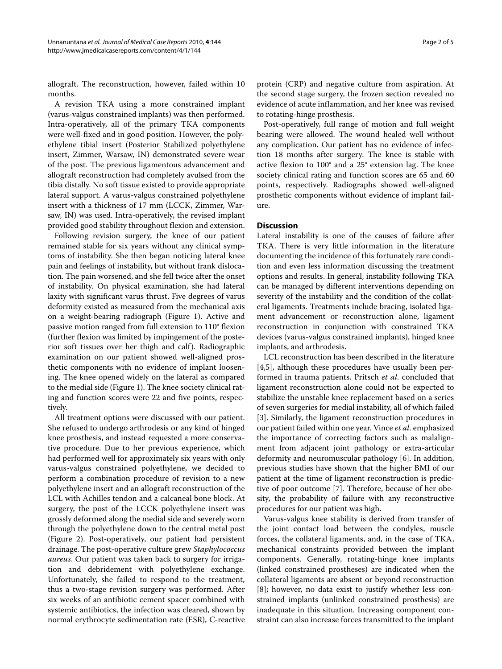allograft. The reconstruction, however, failed within 10 months.

A revision TKA using a more constrained implant (varus-valgus constrained implants) was then performed. Intra-operatively, all of the primary TKA components were well-fixed and in good position. However, the polyethylene tibial insert (Posterior Stabilized polyethylene insert, Zimmer, Warsaw, IN) demonstrated severe wear of the post. The previous ligamentous advancement and allograft reconstruction had completely avulsed from the tibia distally. No soft tissue existed to provide appropriate lateral support. A varus-valgus constrained polyethylene insert with a thickness of 17 mm (LCCK, Zimmer, Warsaw, IN) was used. Intra-operatively, the revised implant provided good stability throughout flexion and extension.

Following revision surgery, the knee of our patient remained stable for six years without any clinical symptoms of instability. She then began noticing lateral knee pain and feelings of instability, but without frank dislocation. The pain worsened, and she fell twice after the onset of instability. On physical examination, she had lateral laxity with significant varus thrust. Five degrees of varus deformity existed as measured from the mechanical axis on a weight-bearing radiograph (Figure [1\)](#page-2-0). Active and passive motion ranged from full extension to 110° flexion (further flexion was limited by impingement of the posterior soft tissues over her thigh and calf). Radiographic examination on our patient showed well-aligned prosthetic components with no evidence of implant loosening. The knee opened widely on the lateral as compared to the medial side (Figure [1](#page-2-0)). The knee society clinical rating and function scores were 22 and five points, respectively.

All treatment options were discussed with our patient. She refused to undergo arthrodesis or any kind of hinged knee prosthesis, and instead requested a more conservative procedure. Due to her previous experience, which had performed well for approximately six years with only varus-valgus constrained polyethylene, we decided to perform a combination procedure of revision to a new polyethylene insert and an allograft reconstruction of the LCL with Achilles tendon and a calcaneal bone block. At surgery, the post of the LCCK polyethylene insert was grossly deformed along the medial side and severely worn through the polyethylene down to the central metal post (Figure [2](#page-3-0)). Post-operatively, our patient had persistent drainage. The post-operative culture grew *Staphylococcus aureus*. Our patient was taken back to surgery for irrigation and debridement with polyethylene exchange. Unfortunately, she failed to respond to the treatment, thus a two-stage revision surgery was performed. After six weeks of an antibiotic cement spacer combined with systemic antibiotics, the infection was cleared, shown by normal erythrocyte sedimentation rate (ESR), C-reactive

protein (CRP) and negative culture from aspiration. At the second stage surgery, the frozen section revealed no evidence of acute inflammation, and her knee was revised to rotating-hinge prosthesis.

Post-operatively, full range of motion and full weight bearing were allowed. The wound healed well without any complication. Our patient has no evidence of infection 18 months after surgery. The knee is stable with active flexion to 100° and a 25° extension lag. The knee society clinical rating and function scores are 65 and 60 points, respectively. Radiographs showed well-aligned prosthetic components without evidence of implant failure.

# **Discussion**

Lateral instability is one of the causes of failure after TKA. There is very little information in the literature documenting the incidence of this fortunately rare condition and even less information discussing the treatment options and results. In general, instability following TKA can be managed by different interventions depending on severity of the instability and the condition of the collateral ligaments. Treatments include bracing, isolated ligament advancement or reconstruction alone, ligament reconstruction in conjunction with constrained TKA devices (varus-valgus constrained implants), hinged knee implants, and arthrodesis.

LCL reconstruction has been described in the literature [[4,](#page-4-2)[5\]](#page-4-3), although these procedures have usually been performed in trauma patients. Pritsch *et al*. concluded that ligament reconstruction alone could not be expected to stabilize the unstable knee replacement based on a series of seven surgeries for medial instability, all of which failed [[3\]](#page-4-1). Similarly, the ligament reconstruction procedures in our patient failed within one year. Vince *et al*. emphasized the importance of correcting factors such as malalignment from adjacent joint pathology or extra-articular deformity and neuromuscular pathology [\[6](#page-4-4)]. In addition, previous studies have shown that the higher BMI of our patient at the time of ligament reconstruction is predictive of poor outcome [\[7\]](#page-4-5). Therefore, because of her obesity, the probability of failure with any reconstructive procedures for our patient was high.

Varus-valgus knee stability is derived from transfer of the joint contact load between the condyles, muscle forces, the collateral ligaments, and, in the case of TKA, mechanical constraints provided between the implant components. Generally, rotating-hinge knee implants (linked constrained prostheses) are indicated when the collateral ligaments are absent or beyond reconstruction [[8\]](#page-4-6); however, no data exist to justify whether less constrained implants (unlinked constrained prosthesis) are inadequate in this situation. Increasing component constraint can also increase forces transmitted to the implant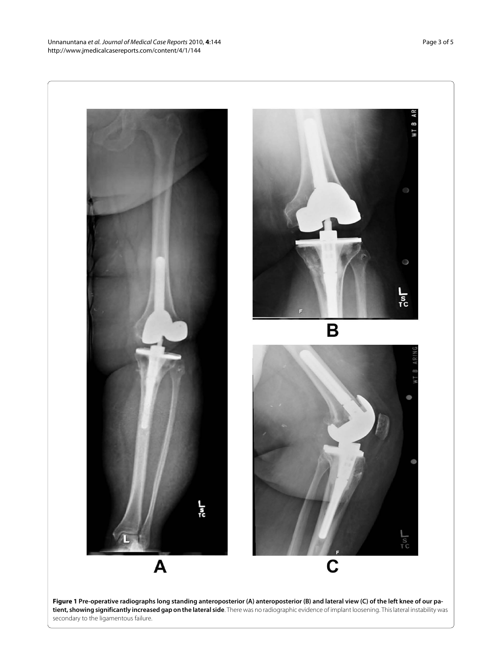<span id="page-2-0"></span>

**tient, showing significantly increased gap on the lateral side**. There was no radiographic evidence of implant loosening. This lateral instability was secondary to the ligamentous failure.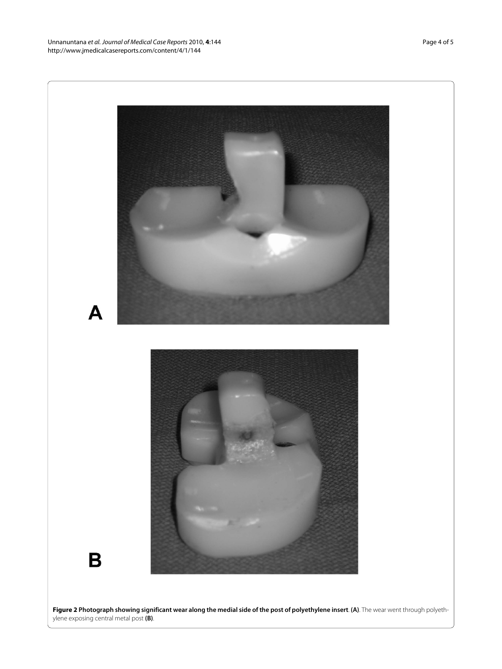Unnanuntana et al. Journal of Medical Case Reports 2010, **4**:144 http://www.jmedicalcasereports.com/content/4/1/144

<span id="page-3-0"></span>

**Figure 2 Photograph showing significant wear along the medial side of the post of polyethylene insert**. **(A)**. The wear went through polyethylene exposing central metal post **(B)**.